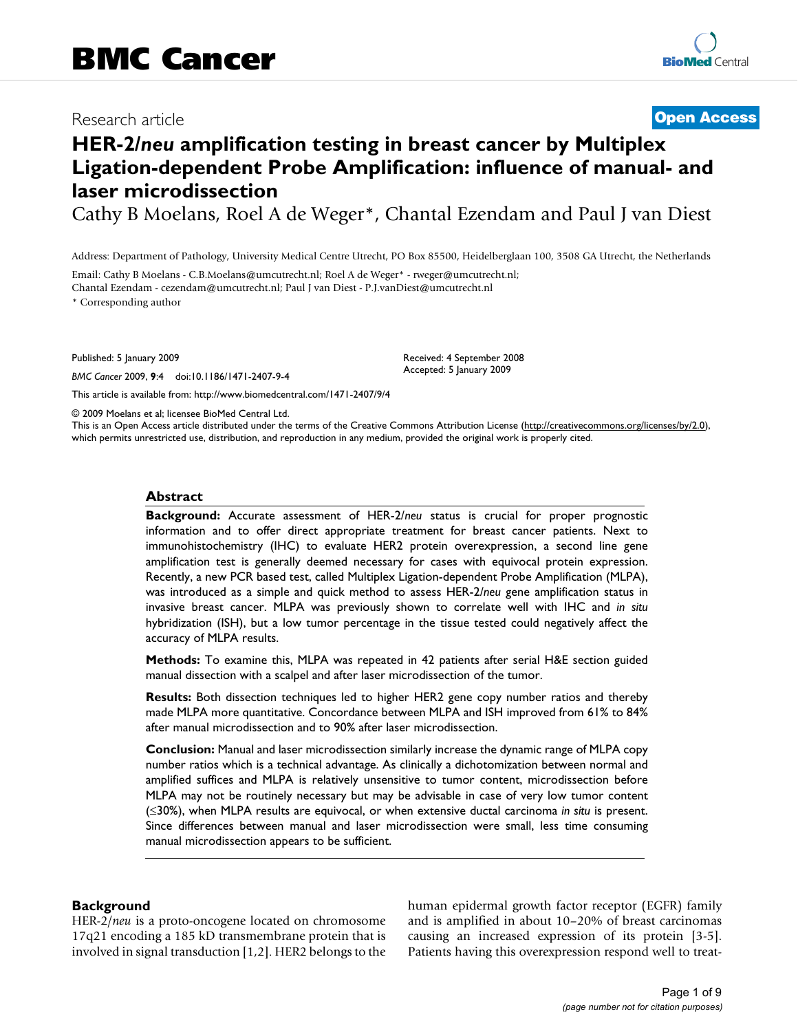# Research article **[Open Access](http://www.biomedcentral.com/info/about/charter/)**

# **HER-2/***neu* **amplification testing in breast cancer by Multiplex Ligation-dependent Probe Amplification: influence of manual- and laser microdissection**

Cathy B Moelans, Roel A de Weger\*, Chantal Ezendam and Paul J van Diest

Address: Department of Pathology, University Medical Centre Utrecht, PO Box 85500, Heidelberglaan 100, 3508 GA Utrecht, the Netherlands

Email: Cathy B Moelans - C.B.Moelans@umcutrecht.nl; Roel A de Weger\* - rweger@umcutrecht.nl; Chantal Ezendam - cezendam@umcutrecht.nl; Paul J van Diest - P.J.vanDiest@umcutrecht.nl

\* Corresponding author

Published: 5 January 2009

*BMC Cancer* 2009, **9**:4 doi:10.1186/1471-2407-9-4

[This article is available from: http://www.biomedcentral.com/1471-2407/9/4](http://www.biomedcentral.com/1471-2407/9/4)

© 2009 Moelans et al; licensee BioMed Central Ltd.

This is an Open Access article distributed under the terms of the Creative Commons Attribution License [\(http://creativecommons.org/licenses/by/2.0\)](http://creativecommons.org/licenses/by/2.0), which permits unrestricted use, distribution, and reproduction in any medium, provided the original work is properly cited.

Received: 4 September 2008 Accepted: 5 January 2009

### **Abstract**

**Background:** Accurate assessment of HER-2/*neu* status is crucial for proper prognostic information and to offer direct appropriate treatment for breast cancer patients. Next to immunohistochemistry (IHC) to evaluate HER2 protein overexpression, a second line gene amplification test is generally deemed necessary for cases with equivocal protein expression. Recently, a new PCR based test, called Multiplex Ligation-dependent Probe Amplification (MLPA), was introduced as a simple and quick method to assess HER-2/*neu* gene amplification status in invasive breast cancer. MLPA was previously shown to correlate well with IHC and *in situ* hybridization (ISH), but a low tumor percentage in the tissue tested could negatively affect the accuracy of MLPA results.

**Methods:** To examine this, MLPA was repeated in 42 patients after serial H&E section guided manual dissection with a scalpel and after laser microdissection of the tumor.

**Results:** Both dissection techniques led to higher HER2 gene copy number ratios and thereby made MLPA more quantitative. Concordance between MLPA and ISH improved from 61% to 84% after manual microdissection and to 90% after laser microdissection.

**Conclusion:** Manual and laser microdissection similarly increase the dynamic range of MLPA copy number ratios which is a technical advantage. As clinically a dichotomization between normal and amplified suffices and MLPA is relatively unsensitive to tumor content, microdissection before MLPA may not be routinely necessary but may be advisable in case of very low tumor content (≤30%), when MLPA results are equivocal, or when extensive ductal carcinoma *in situ* is present. Since differences between manual and laser microdissection were small, less time consuming manual microdissection appears to be sufficient.

### **Background**

HER-2/*neu* is a proto-oncogene located on chromosome 17q21 encoding a 185 kD transmembrane protein that is involved in signal transduction [1,2]. HER2 belongs to the human epidermal growth factor receptor (EGFR) family and is amplified in about 10–20% of breast carcinomas causing an increased expression of its protein [3-5]. Patients having this overexpression respond well to treat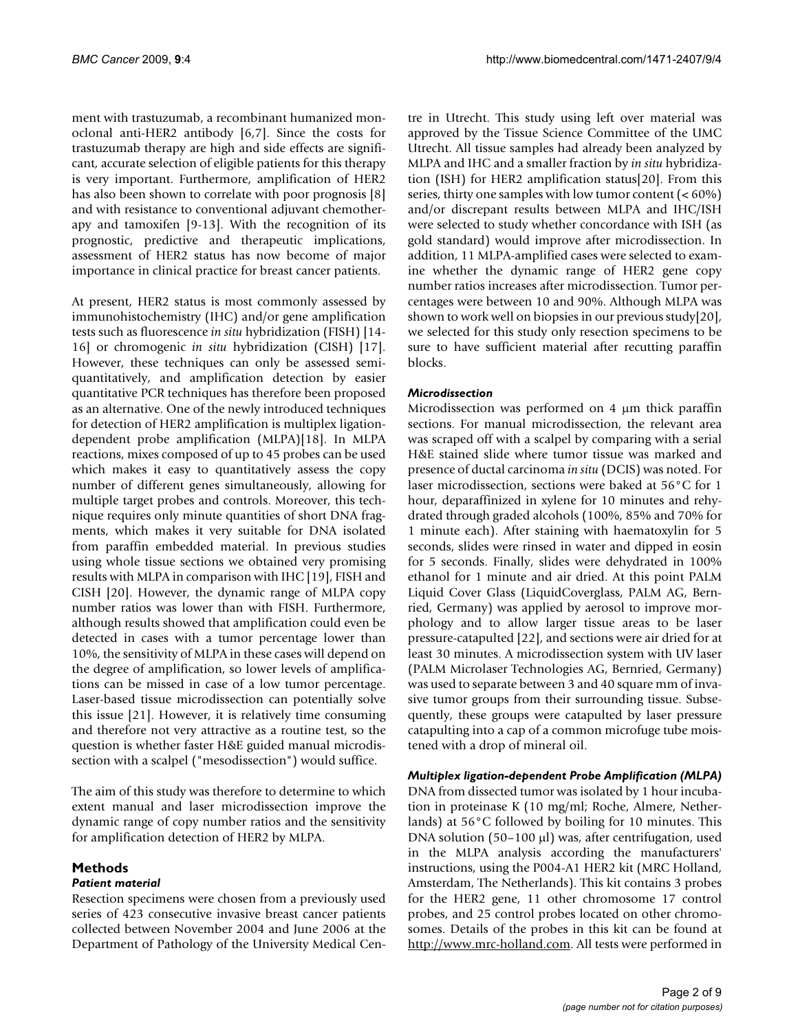ment with trastuzumab, a recombinant humanized monoclonal anti-HER2 antibody [6,7]. Since the costs for trastuzumab therapy are high and side effects are significant, accurate selection of eligible patients for this therapy is very important. Furthermore, amplification of HER2 has also been shown to correlate with poor prognosis [8] and with resistance to conventional adjuvant chemotherapy and tamoxifen [9-13]. With the recognition of its prognostic, predictive and therapeutic implications, assessment of HER2 status has now become of major importance in clinical practice for breast cancer patients.

At present, HER2 status is most commonly assessed by immunohistochemistry (IHC) and/or gene amplification tests such as fluorescence *in situ* hybridization (FISH) [14- 16] or chromogenic *in situ* hybridization (CISH) [17]. However, these techniques can only be assessed semiquantitatively, and amplification detection by easier quantitative PCR techniques has therefore been proposed as an alternative. One of the newly introduced techniques for detection of HER2 amplification is multiplex ligationdependent probe amplification (MLPA)[18]. In MLPA reactions, mixes composed of up to 45 probes can be used which makes it easy to quantitatively assess the copy number of different genes simultaneously, allowing for multiple target probes and controls. Moreover, this technique requires only minute quantities of short DNA fragments, which makes it very suitable for DNA isolated from paraffin embedded material. In previous studies using whole tissue sections we obtained very promising results with MLPA in comparison with IHC [19], FISH and CISH [20]. However, the dynamic range of MLPA copy number ratios was lower than with FISH. Furthermore, although results showed that amplification could even be detected in cases with a tumor percentage lower than 10%, the sensitivity of MLPA in these cases will depend on the degree of amplification, so lower levels of amplifications can be missed in case of a low tumor percentage. Laser-based tissue microdissection can potentially solve this issue [21]. However, it is relatively time consuming and therefore not very attractive as a routine test, so the question is whether faster H&E guided manual microdissection with a scalpel ("mesodissection") would suffice.

The aim of this study was therefore to determine to which extent manual and laser microdissection improve the dynamic range of copy number ratios and the sensitivity for amplification detection of HER2 by MLPA.

# **Methods**

# *Patient material*

Resection specimens were chosen from a previously used series of 423 consecutive invasive breast cancer patients collected between November 2004 and June 2006 at the Department of Pathology of the University Medical Centre in Utrecht. This study using left over material was approved by the Tissue Science Committee of the UMC Utrecht. All tissue samples had already been analyzed by MLPA and IHC and a smaller fraction by *in situ* hybridization (ISH) for HER2 amplification status[20]. From this series, thirty one samples with low tumor content (< 60%) and/or discrepant results between MLPA and IHC/ISH were selected to study whether concordance with ISH (as gold standard) would improve after microdissection. In addition, 11 MLPA-amplified cases were selected to examine whether the dynamic range of HER2 gene copy number ratios increases after microdissection. Tumor percentages were between 10 and 90%. Although MLPA was shown to work well on biopsies in our previous study[20], we selected for this study only resection specimens to be sure to have sufficient material after recutting paraffin blocks.

# *Microdissection*

Microdissection was performed on 4 μm thick paraffin sections. For manual microdissection, the relevant area was scraped off with a scalpel by comparing with a serial H&E stained slide where tumor tissue was marked and presence of ductal carcinoma *in situ* (DCIS) was noted. For laser microdissection, sections were baked at 56°C for 1 hour, deparaffinized in xylene for 10 minutes and rehydrated through graded alcohols (100%, 85% and 70% for 1 minute each). After staining with haematoxylin for 5 seconds, slides were rinsed in water and dipped in eosin for 5 seconds. Finally, slides were dehydrated in 100% ethanol for 1 minute and air dried. At this point PALM Liquid Cover Glass (LiquidCoverglass, PALM AG, Bernried, Germany) was applied by aerosol to improve morphology and to allow larger tissue areas to be laser pressure-catapulted [22], and sections were air dried for at least 30 minutes. A microdissection system with UV laser (PALM Microlaser Technologies AG, Bernried, Germany) was used to separate between 3 and 40 square mm of invasive tumor groups from their surrounding tissue. Subsequently, these groups were catapulted by laser pressure catapulting into a cap of a common microfuge tube moistened with a drop of mineral oil.

# *Multiplex ligation-dependent Probe Amplification (MLPA)*

DNA from dissected tumor was isolated by 1 hour incubation in proteinase K (10 mg/ml; Roche, Almere, Netherlands) at 56°C followed by boiling for 10 minutes. This DNA solution (50–100 μl) was, after centrifugation, used in the MLPA analysis according the manufacturers' instructions, using the P004-A1 HER2 kit (MRC Holland, Amsterdam, The Netherlands). This kit contains 3 probes for the HER2 gene, 11 other chromosome 17 control probes, and 25 control probes located on other chromosomes. Details of the probes in this kit can be found at [http://www.mrc-holland.com.](http://www.mrc-holland.com) All tests were performed in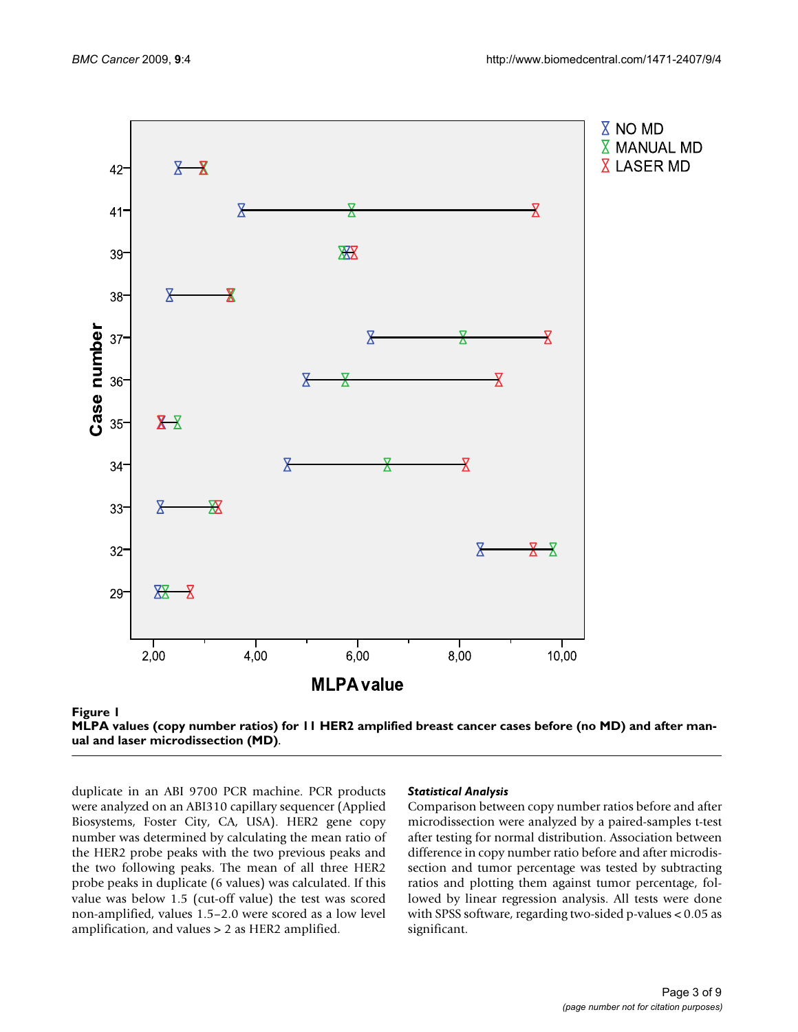



duplicate in an ABI 9700 PCR machine. PCR products were analyzed on an ABI310 capillary sequencer (Applied Biosystems, Foster City, CA, USA). HER2 gene copy number was determined by calculating the mean ratio of the HER2 probe peaks with the two previous peaks and the two following peaks. The mean of all three HER2 probe peaks in duplicate (6 values) was calculated. If this value was below 1.5 (cut-off value) the test was scored non-amplified, values 1.5–2.0 were scored as a low level amplification, and values > 2 as HER2 amplified.

#### *Statistical Analysis*

Comparison between copy number ratios before and after microdissection were analyzed by a paired-samples t-test after testing for normal distribution. Association between difference in copy number ratio before and after microdissection and tumor percentage was tested by subtracting ratios and plotting them against tumor percentage, followed by linear regression analysis. All tests were done with SPSS software, regarding two-sided p-values < 0.05 as significant.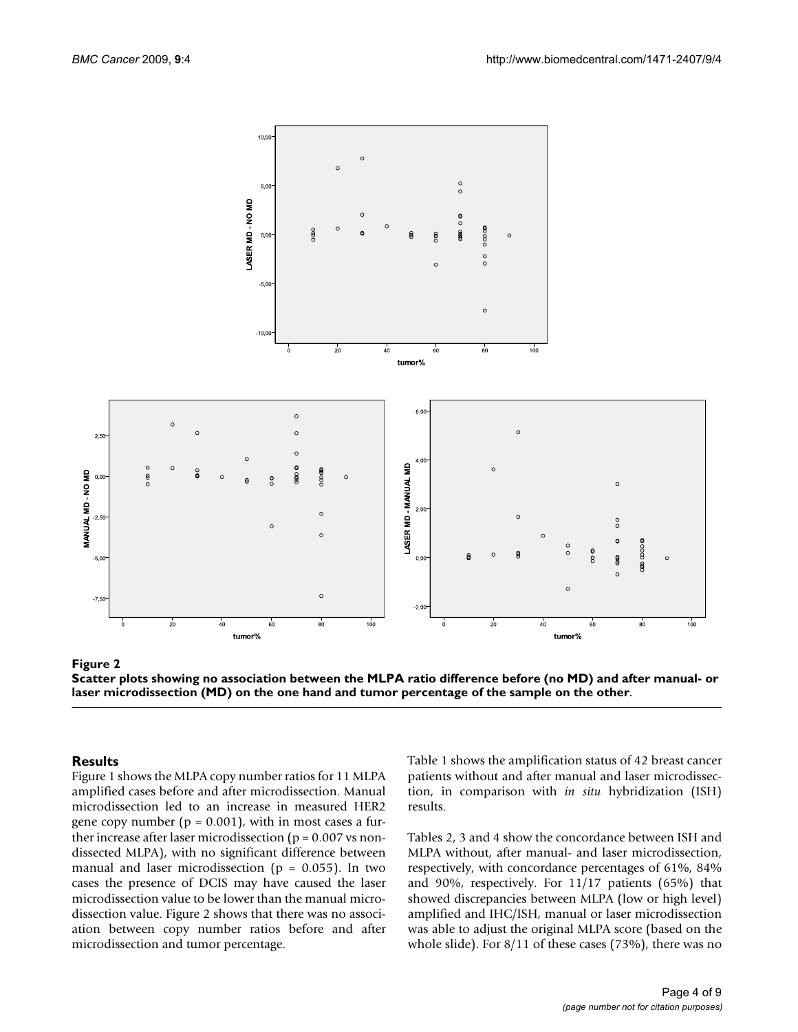

section (MD) on the one hand and tumor **Figure 2** Scatter plots showing no association between the MLPA rati percentage of the sample on the other o difference before (no MD) and after manual- or laser microdis-

**Scatter plots showing no association between the MLPA ratio difference before (no MD) and after manual- or laser microdissection (MD) on the one hand and tumor percentage of the sample on the other**.

# **Results**

Figure 1 shows the MLPA copy number ratios for 11 MLPA amplified cases before and after microdissection. Manual microdissection led to an increase in measured HER2 gene copy number ( $p = 0.001$ ), with in most cases a further increase after laser microdissection ( $p = 0.007$  vs nondissected MLPA), with no significant difference between manual and laser microdissection ( $p = 0.055$ ). In two cases the presence of DCIS may have caused the laser microdissection value to be lower than the manual microdissection value. Figure 2 shows that there was no association between copy number ratios before and after microdissection and tumor percentage.

Table 1 shows the amplification status of 42 breast cancer patients without and after manual and laser microdissection, in comparison with *in situ* hybridization (ISH) results.

Tables 2, 3 and 4 show the concordance between ISH and MLPA without, after manual- and laser microdissection, respectively, with concordance percentages of 61%, 84% and 90%, respectively. For 11/17 patients (65%) that showed discrepancies between MLPA (low or high level) amplified and IHC/ISH, manual or laser microdissection was able to adjust the original MLPA score (based on the whole slide). For 8/11 of these cases (73%), there was no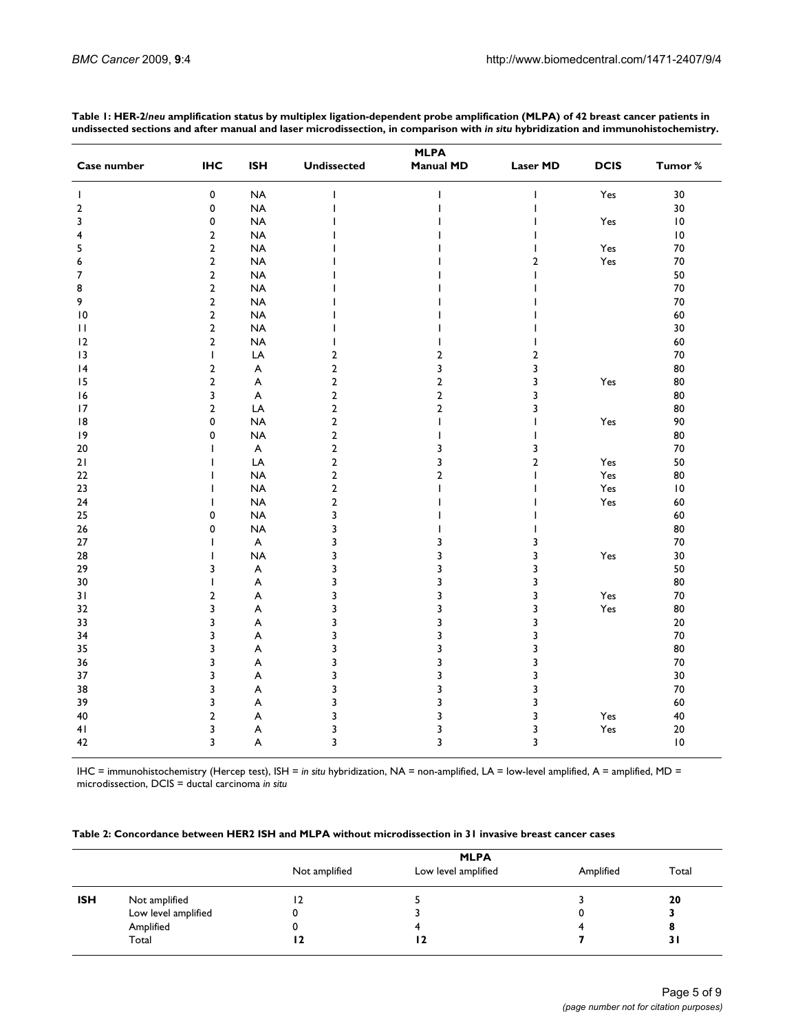|                |                |                           |                    | <b>MLPA</b>      |                 |             |         |
|----------------|----------------|---------------------------|--------------------|------------------|-----------------|-------------|---------|
| Case number    | <b>IHC</b>     | <b>ISH</b>                | <b>Undissected</b> | <b>Manual MD</b> | <b>Laser MD</b> | <b>DCIS</b> | Tumor % |
| $\mathbf{I}$   | $\mathbf 0$    | <b>NA</b>                 |                    | Т                |                 | Yes         | 30      |
| $\overline{2}$ | $\mathbf 0$    | <b>NA</b>                 |                    |                  |                 |             | 30      |
| 3              | 0              | <b>NA</b>                 |                    |                  |                 | Yes         | 10      |
| 4              | $\mathbf{2}$   | <b>NA</b>                 |                    |                  | ı               |             | 0       |
| 5              | $\overline{2}$ | <b>NA</b>                 |                    |                  | ı               | Yes         | 70      |
| 6              | $\mathbf 2$    | <b>NA</b>                 |                    |                  | $\overline{2}$  | Yes         | 70      |
| $\overline{7}$ | $\overline{2}$ | <b>NA</b>                 |                    |                  | T               |             | 50      |
| 8              | $\overline{2}$ | <b>NA</b>                 |                    |                  |                 |             | 70      |
| 9              | $\overline{2}$ | <b>NA</b>                 |                    |                  |                 |             | 70      |
| 10             | $\overline{2}$ | <b>NA</b>                 |                    |                  |                 |             | 60      |
| П              | $\mathbf 2$    | <b>NA</b>                 |                    |                  |                 |             | 30      |
| 12             | $\overline{2}$ | <b>NA</b>                 | ı                  |                  | T               |             | 60      |
| 13             | $\mathsf{I}$   | LA                        | $\overline{2}$     | $\overline{2}$   | $\overline{2}$  |             | 70      |
| 4              | $\overline{2}$ | A                         | $\overline{2}$     | 3                | 3               |             | 80      |
| 15             | $\overline{2}$ | A                         | $\overline{a}$     | $\overline{2}$   | 3               | Yes         | 80      |
| 16             | 3              | A                         | $\overline{2}$     | $\overline{2}$   | 3               |             | 80      |
| 17             | $\overline{2}$ | LA                        | $\overline{2}$     | $\overline{2}$   | 3               |             | 80      |
| 18             | 0              | <b>NA</b>                 | $\overline{2}$     | T                | T               | Yes         | 90      |
| 9              | 0              | <b>NA</b>                 | $\overline{2}$     |                  | I               |             | 80      |
| 20             |                | A                         | $\overline{2}$     | 3                | 3               |             | 70      |
| 21             |                | LA                        | $\overline{2}$     | 3                | $\overline{2}$  | Yes         | 50      |
| 22             |                | <b>NA</b>                 | $\overline{2}$     | $\overline{2}$   | T               | Yes         | 80      |
| 23             | ı              | <b>NA</b>                 | $\overline{2}$     |                  | ı               | Yes         | 10      |
| 24             | ı              | <b>NA</b>                 | $\mathbf 2$        |                  |                 | Yes         | 60      |
| 25             | $\mathbf 0$    | <b>NA</b>                 | 3                  |                  |                 |             | 60      |
| 26             | 0              | <b>NA</b>                 | 3                  |                  |                 |             | 80      |
| 27             | I              | $\boldsymbol{\mathsf{A}}$ | 3                  | 3                | 3               |             | 70      |
| 28             | T              | <b>NA</b>                 | 3                  | 3                | 3               | Yes         | 30      |
| 29             | 3              | A                         | 3                  | 3                | 3               |             | 50      |
| 30             | I              | A                         | 3                  | 3                | 3               |             | 80      |
| 31             | $\overline{2}$ | A                         | 3                  | 3                | 3               | Yes         | 70      |
| 32             | 3              | A                         | 3                  | 3                | 3               | Yes         | 80      |
| 33             | 3              | A                         | 3                  | 3                | 3               |             | 20      |
| 34             | 3              | A                         | 3                  | 3                | 3               |             | 70      |
| 35             | 3              | A                         | 3                  | 3                | 3               |             | 80      |
| 36             | 3              | A                         | 3                  | 3                | 3               |             | 70      |
| 37             | 3              | A                         | 3                  | 3                | 3               |             | 30      |
| 38             | 3              | A                         | 3                  | 3                | 3               |             | 70      |
| 39             | 3              | A                         | 3                  | 3                | 3               |             | 60      |
| 40             | $\overline{2}$ | A                         | 3                  | 3                | 3               | Yes         | 40      |
| 41             | 3              | A                         | 3                  | 3                | 3               | Yes         | 20      |
| 42             | 3              | A                         | 3                  | 3                | 3               |             | 0       |

**Table 1: HER-2/***neu* **amplification status by multiplex ligation-dependent probe amplification (MLPA) of 42 breast cancer patients in undissected sections and after manual and laser microdissection, in comparison with** *in situ* **hybridization and immunohistochemistry.**

IHC = immunohistochemistry (Hercep test), ISH = *in situ* hybridization, NA = non-amplified, LA = low-level amplified, A = amplified, MD = microdissection, DCIS = ductal carcinoma *in situ*

**Table 2: Concordance between HER2 ISH and MLPA without microdissection in 31 invasive breast cancer cases**

|                                                                          | <b>MLPA</b>   |                     |           |       |
|--------------------------------------------------------------------------|---------------|---------------------|-----------|-------|
|                                                                          | Not amplified | Low level amplified | Amplified | Total |
| <b>ISH</b><br>Not amplified<br>Low level amplified<br>Amplified<br>Total | ، 2           |                     |           | 20    |
|                                                                          |               |                     |           |       |
|                                                                          |               |                     |           |       |
|                                                                          | 4             | 12                  |           | 31    |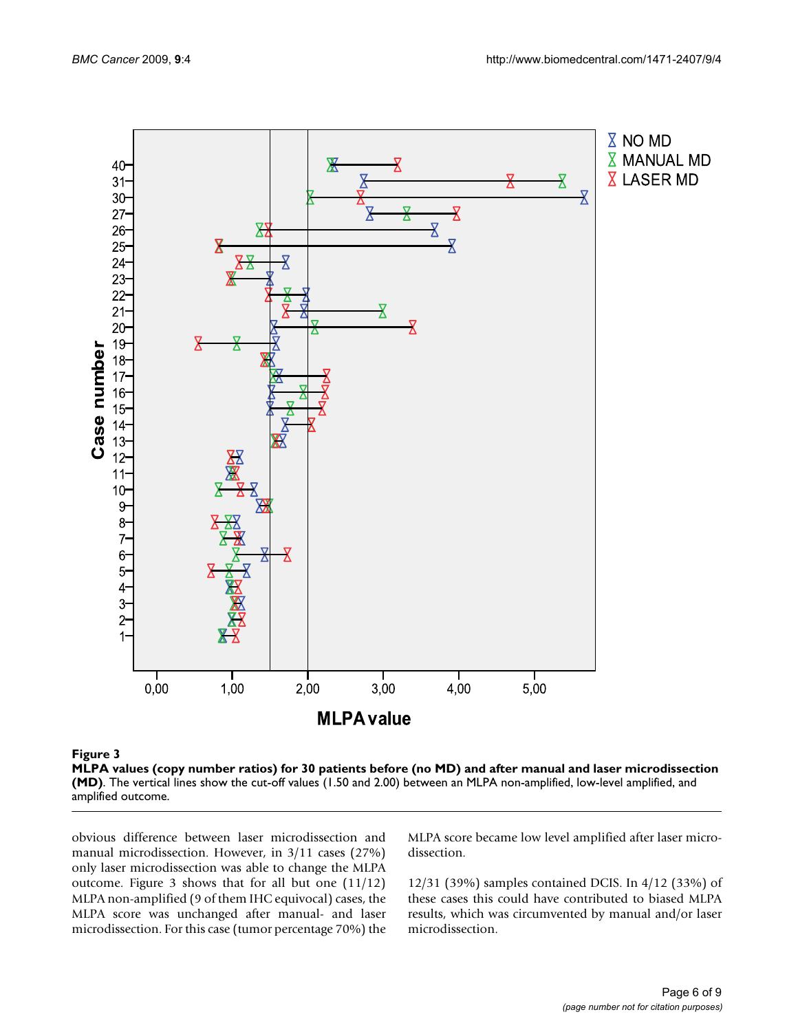



obvious difference between laser microdissection and manual microdissection. However, in 3/11 cases (27%) only laser microdissection was able to change the MLPA outcome. Figure 3 shows that for all but one (11/12) MLPA non-amplified (9 of them IHC equivocal) cases, the MLPA score was unchanged after manual- and laser microdissection. For this case (tumor percentage 70%) the MLPA score became low level amplified after laser microdissection.

12/31 (39%) samples contained DCIS. In 4/12 (33%) of these cases this could have contributed to biased MLPA results, which was circumvented by manual and/or laser microdissection.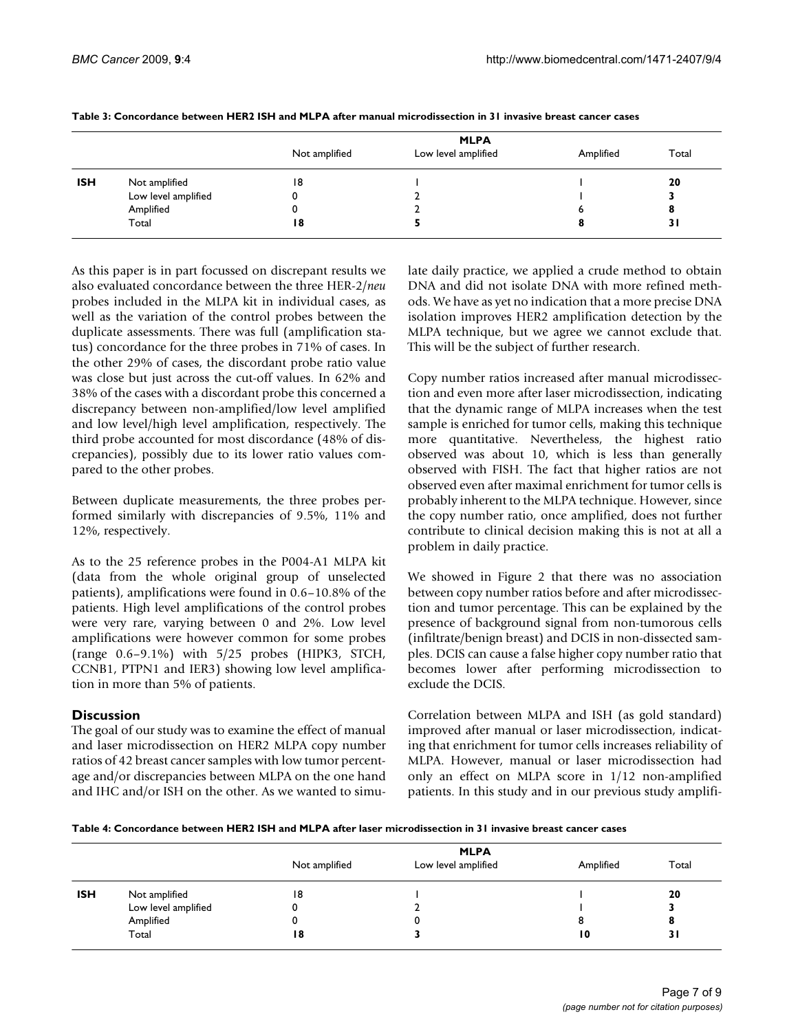|                     |                     | <b>MLPA</b>   |                     |           |       |
|---------------------|---------------------|---------------|---------------------|-----------|-------|
|                     |                     | Not amplified | Low level amplified | Amplified | Total |
| <b>ISH</b><br>Total | Not amplified       | 18            |                     |           | 20    |
|                     | Low level amplified |               |                     |           |       |
|                     | Amplified           |               |                     |           |       |
|                     |                     | 18            |                     |           | 31    |

#### **Table 3: Concordance between HER2 ISH and MLPA after manual microdissection in 31 invasive breast cancer cases**

As this paper is in part focussed on discrepant results we also evaluated concordance between the three HER-2/*neu* probes included in the MLPA kit in individual cases, as well as the variation of the control probes between the duplicate assessments. There was full (amplification status) concordance for the three probes in 71% of cases. In the other 29% of cases, the discordant probe ratio value was close but just across the cut-off values. In 62% and 38% of the cases with a discordant probe this concerned a discrepancy between non-amplified/low level amplified and low level/high level amplification, respectively. The third probe accounted for most discordance (48% of discrepancies), possibly due to its lower ratio values compared to the other probes.

Between duplicate measurements, the three probes performed similarly with discrepancies of 9.5%, 11% and 12%, respectively.

As to the 25 reference probes in the P004-A1 MLPA kit (data from the whole original group of unselected patients), amplifications were found in 0.6–10.8% of the patients. High level amplifications of the control probes were very rare, varying between 0 and 2%. Low level amplifications were however common for some probes (range 0.6–9.1%) with 5/25 probes (HIPK3, STCH, CCNB1, PTPN1 and IER3) showing low level amplification in more than 5% of patients.

# **Discussion**

The goal of our study was to examine the effect of manual and laser microdissection on HER2 MLPA copy number ratios of 42 breast cancer samples with low tumor percentage and/or discrepancies between MLPA on the one hand and IHC and/or ISH on the other. As we wanted to simulate daily practice, we applied a crude method to obtain DNA and did not isolate DNA with more refined methods. We have as yet no indication that a more precise DNA isolation improves HER2 amplification detection by the MLPA technique, but we agree we cannot exclude that. This will be the subject of further research.

Copy number ratios increased after manual microdissection and even more after laser microdissection, indicating that the dynamic range of MLPA increases when the test sample is enriched for tumor cells, making this technique more quantitative. Nevertheless, the highest ratio observed was about 10, which is less than generally observed with FISH. The fact that higher ratios are not observed even after maximal enrichment for tumor cells is probably inherent to the MLPA technique. However, since the copy number ratio, once amplified, does not further contribute to clinical decision making this is not at all a problem in daily practice.

We showed in Figure 2 that there was no association between copy number ratios before and after microdissection and tumor percentage. This can be explained by the presence of background signal from non-tumorous cells (infiltrate/benign breast) and DCIS in non-dissected samples. DCIS can cause a false higher copy number ratio that becomes lower after performing microdissection to exclude the DCIS.

Correlation between MLPA and ISH (as gold standard) improved after manual or laser microdissection, indicating that enrichment for tumor cells increases reliability of MLPA. However, manual or laser microdissection had only an effect on MLPA score in 1/12 non-amplified patients. In this study and in our previous study amplifi-

|            |                     | <b>MLPA</b>   |                     |           |       |
|------------|---------------------|---------------|---------------------|-----------|-------|
|            |                     | Not amplified | Low level amplified | Amplified | Total |
| <b>ISH</b> | Not amplified       | 18            |                     |           | 20    |
|            | Low level amplified | υ             |                     |           |       |
|            | Amplified           | u             | υ                   |           | О     |
|            | Total               | 18            |                     | 10        | 3 I   |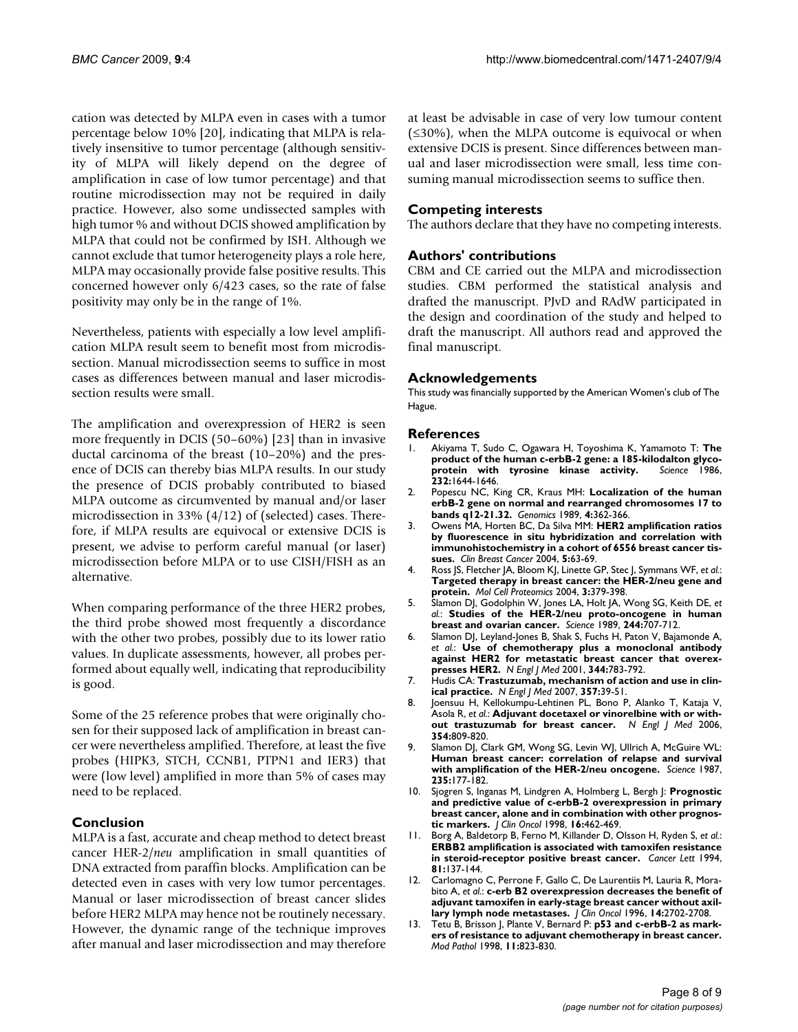cation was detected by MLPA even in cases with a tumor percentage below 10% [20], indicating that MLPA is relatively insensitive to tumor percentage (although sensitivity of MLPA will likely depend on the degree of amplification in case of low tumor percentage) and that routine microdissection may not be required in daily practice. However, also some undissected samples with high tumor % and without DCIS showed amplification by MLPA that could not be confirmed by ISH. Although we cannot exclude that tumor heterogeneity plays a role here, MLPA may occasionally provide false positive results. This concerned however only 6/423 cases, so the rate of false positivity may only be in the range of 1%.

Nevertheless, patients with especially a low level amplification MLPA result seem to benefit most from microdissection. Manual microdissection seems to suffice in most cases as differences between manual and laser microdissection results were small.

The amplification and overexpression of HER2 is seen more frequently in DCIS (50–60%) [23] than in invasive ductal carcinoma of the breast (10–20%) and the presence of DCIS can thereby bias MLPA results. In our study the presence of DCIS probably contributed to biased MLPA outcome as circumvented by manual and/or laser microdissection in 33% (4/12) of (selected) cases. Therefore, if MLPA results are equivocal or extensive DCIS is present, we advise to perform careful manual (or laser) microdissection before MLPA or to use CISH/FISH as an alternative.

When comparing performance of the three HER2 probes, the third probe showed most frequently a discordance with the other two probes, possibly due to its lower ratio values. In duplicate assessments, however, all probes performed about equally well, indicating that reproducibility is good.

Some of the 25 reference probes that were originally chosen for their supposed lack of amplification in breast cancer were nevertheless amplified. Therefore, at least the five probes (HIPK3, STCH, CCNB1, PTPN1 and IER3) that were (low level) amplified in more than 5% of cases may need to be replaced.

### **Conclusion**

MLPA is a fast, accurate and cheap method to detect breast cancer HER-2/*neu* amplification in small quantities of DNA extracted from paraffin blocks. Amplification can be detected even in cases with very low tumor percentages. Manual or laser microdissection of breast cancer slides before HER2 MLPA may hence not be routinely necessary. However, the dynamic range of the technique improves after manual and laser microdissection and may therefore at least be advisable in case of very low tumour content  $( \leq 30\%)$ , when the MLPA outcome is equivocal or when extensive DCIS is present. Since differences between manual and laser microdissection were small, less time consuming manual microdissection seems to suffice then.

# **Competing interests**

The authors declare that they have no competing interests.

## **Authors' contributions**

CBM and CE carried out the MLPA and microdissection studies. CBM performed the statistical analysis and drafted the manuscript. PJvD and RAdW participated in the design and coordination of the study and helped to draft the manuscript. All authors read and approved the final manuscript.

### **Acknowledgements**

This study was financially supported by the American Women's club of The Hague.

### **References**

- 1. Akiyama T, Sudo C, Ogawara H, Toyoshima K, Yamamoto T: **[The](http://www.ncbi.nlm.nih.gov/entrez/query.fcgi?cmd=Retrieve&db=PubMed&dopt=Abstract&list_uids=3012781) product of the human c-erbB-2 gene: a 185-kilodalton glyco-<br>
<b>protein** with tyrosine kinase activity. Science 1986. [protein with tyrosine kinase activity.](http://www.ncbi.nlm.nih.gov/entrez/query.fcgi?cmd=Retrieve&db=PubMed&dopt=Abstract&list_uids=3012781) **232:**1644-1646.
- 2. Popescu NC, King CR, Kraus MH: **[Localization of the human](http://www.ncbi.nlm.nih.gov/entrez/query.fcgi?cmd=Retrieve&db=PubMed&dopt=Abstract&list_uids=2565881) [erbB-2 gene on normal and rearranged chromosomes 17 to](http://www.ncbi.nlm.nih.gov/entrez/query.fcgi?cmd=Retrieve&db=PubMed&dopt=Abstract&list_uids=2565881) [bands q12-21.32.](http://www.ncbi.nlm.nih.gov/entrez/query.fcgi?cmd=Retrieve&db=PubMed&dopt=Abstract&list_uids=2565881)** *Genomics* 1989, **4:**362-366.
- 3. Owens MA, Horten BC, Da Silva MM: **[HER2 amplification ratios](http://www.ncbi.nlm.nih.gov/entrez/query.fcgi?cmd=Retrieve&db=PubMed&dopt=Abstract&list_uids=15140287) [by fluorescence in situ hybridization and correlation with](http://www.ncbi.nlm.nih.gov/entrez/query.fcgi?cmd=Retrieve&db=PubMed&dopt=Abstract&list_uids=15140287) immunohistochemistry in a cohort of 6556 breast cancer tis[sues.](http://www.ncbi.nlm.nih.gov/entrez/query.fcgi?cmd=Retrieve&db=PubMed&dopt=Abstract&list_uids=15140287)** *Clin Breast Cancer* 2004, **5:**63-69.
- 4. Ross JS, Fletcher JA, Bloom KJ, Linette GP, Stec J, Symmans WF, *et al.*: **[Targeted therapy in breast cancer: the HER-2/neu gene and](http://www.ncbi.nlm.nih.gov/entrez/query.fcgi?cmd=Retrieve&db=PubMed&dopt=Abstract&list_uids=14762215) [protein.](http://www.ncbi.nlm.nih.gov/entrez/query.fcgi?cmd=Retrieve&db=PubMed&dopt=Abstract&list_uids=14762215)** *Mol Cell Proteomics* 2004, **3:**379-398.
- 5. Slamon DJ, Godolphin W, Jones LA, Holt JA, Wong SG, Keith DE, *et al.*: **[Studies of the HER-2/neu proto-oncogene in human](http://www.ncbi.nlm.nih.gov/entrez/query.fcgi?cmd=Retrieve&db=PubMed&dopt=Abstract&list_uids=2470152) [breast and ovarian cancer.](http://www.ncbi.nlm.nih.gov/entrez/query.fcgi?cmd=Retrieve&db=PubMed&dopt=Abstract&list_uids=2470152)** *Science* 1989, **244:**707-712.
- 6. Slamon DJ, Leyland-Jones B, Shak S, Fuchs H, Paton V, Bajamonde A, *et al.*: **[Use of chemotherapy plus a monoclonal antibody](http://www.ncbi.nlm.nih.gov/entrez/query.fcgi?cmd=Retrieve&db=PubMed&dopt=Abstract&list_uids=11248153) [against HER2 for metastatic breast cancer that overex](http://www.ncbi.nlm.nih.gov/entrez/query.fcgi?cmd=Retrieve&db=PubMed&dopt=Abstract&list_uids=11248153)[presses HER2.](http://www.ncbi.nlm.nih.gov/entrez/query.fcgi?cmd=Retrieve&db=PubMed&dopt=Abstract&list_uids=11248153)** *N Engl J Med* 2001, **344:**783-792.
- 7. Hudis CA: **[Trastuzumab, mechanism of action and use in clin](http://www.ncbi.nlm.nih.gov/entrez/query.fcgi?cmd=Retrieve&db=PubMed&dopt=Abstract&list_uids=17611206)[ical practice.](http://www.ncbi.nlm.nih.gov/entrez/query.fcgi?cmd=Retrieve&db=PubMed&dopt=Abstract&list_uids=17611206)** *N Engl J Med* 2007, **357:**39-51.
- 8. Joensuu H, Kellokumpu-Lehtinen PL, Bono P, Alanko T, Kataja V, Asola R, *et al.*: **[Adjuvant docetaxel or vinorelbine with or with](http://www.ncbi.nlm.nih.gov/entrez/query.fcgi?cmd=Retrieve&db=PubMed&dopt=Abstract&list_uids=16495393)[out trastuzumab for breast cancer.](http://www.ncbi.nlm.nih.gov/entrez/query.fcgi?cmd=Retrieve&db=PubMed&dopt=Abstract&list_uids=16495393)** *N Engl J Med* 2006, **354:**809-820.
- 9. Slamon DJ, Clark GM, Wong SG, Levin WJ, Ullrich A, McGuire WL: **[Human breast cancer: correlation of relapse and survival](http://www.ncbi.nlm.nih.gov/entrez/query.fcgi?cmd=Retrieve&db=PubMed&dopt=Abstract&list_uids=3798106) [with amplification of the HER-2/neu oncogene.](http://www.ncbi.nlm.nih.gov/entrez/query.fcgi?cmd=Retrieve&db=PubMed&dopt=Abstract&list_uids=3798106)** *Science* 1987, **235:**177-182.
- 10. Sjogren S, Inganas M, Lindgren A, Holmberg L, Bergh J: **[Prognostic](http://www.ncbi.nlm.nih.gov/entrez/query.fcgi?cmd=Retrieve&db=PubMed&dopt=Abstract&list_uids=9469329) [and predictive value of c-erbB-2 overexpression in primary](http://www.ncbi.nlm.nih.gov/entrez/query.fcgi?cmd=Retrieve&db=PubMed&dopt=Abstract&list_uids=9469329) breast cancer, alone and in combination with other prognos[tic markers.](http://www.ncbi.nlm.nih.gov/entrez/query.fcgi?cmd=Retrieve&db=PubMed&dopt=Abstract&list_uids=9469329)** *J Clin Oncol* 1998, **16:**462-469.
- 11. Borg A, Baldetorp B, Ferno M, Killander D, Olsson H, Ryden S, *et al.*: **[ERBB2 amplification is associated with tamoxifen resistance](http://www.ncbi.nlm.nih.gov/entrez/query.fcgi?cmd=Retrieve&db=PubMed&dopt=Abstract&list_uids=7912163) [in steroid-receptor positive breast cancer.](http://www.ncbi.nlm.nih.gov/entrez/query.fcgi?cmd=Retrieve&db=PubMed&dopt=Abstract&list_uids=7912163)** *Cancer Lett* 1994, **81:**137-144.
- 12. Carlomagno C, Perrone F, Gallo C, De Laurentiis M, Lauria R, Morabito A, *et al.*: **[c-erb B2 overexpression decreases the benefit of](http://www.ncbi.nlm.nih.gov/entrez/query.fcgi?cmd=Retrieve&db=PubMed&dopt=Abstract&list_uids=8874330) [adjuvant tamoxifen in early-stage breast cancer without axil](http://www.ncbi.nlm.nih.gov/entrez/query.fcgi?cmd=Retrieve&db=PubMed&dopt=Abstract&list_uids=8874330)[lary lymph node metastases.](http://www.ncbi.nlm.nih.gov/entrez/query.fcgi?cmd=Retrieve&db=PubMed&dopt=Abstract&list_uids=8874330)** *J Clin Oncol* 1996, **14:**2702-2708.
- 13. Tetu B, Brisson J, Plante V, Bernard P: **[p53 and c-erbB-2 as mark](http://www.ncbi.nlm.nih.gov/entrez/query.fcgi?cmd=Retrieve&db=PubMed&dopt=Abstract&list_uids=9758361)[ers of resistance to adjuvant chemotherapy in breast cancer.](http://www.ncbi.nlm.nih.gov/entrez/query.fcgi?cmd=Retrieve&db=PubMed&dopt=Abstract&list_uids=9758361)** *Mod Pathol* 1998, **11:**823-830.